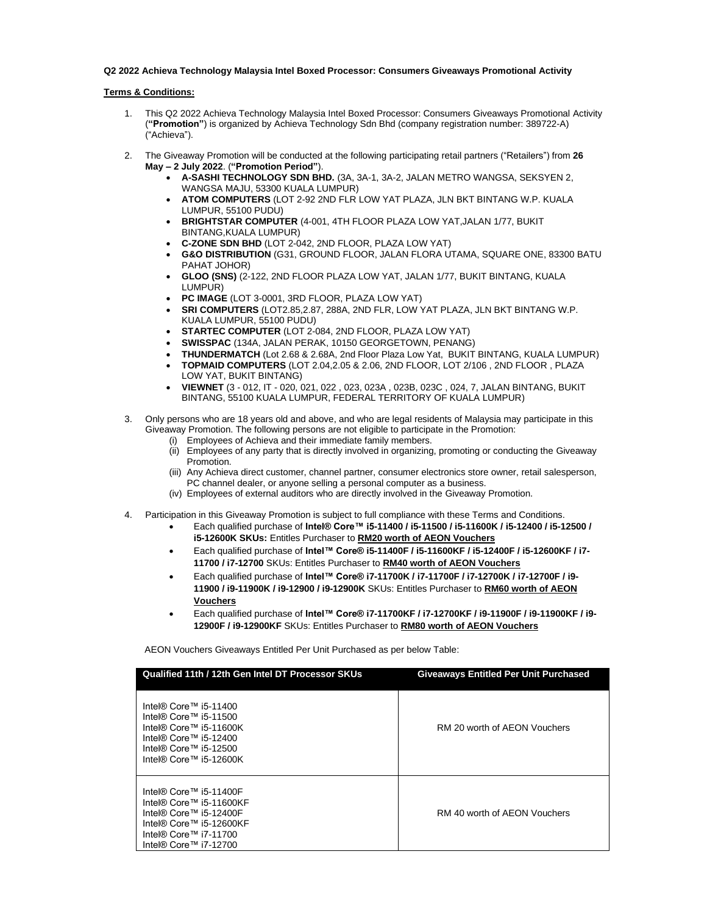## **Q2 2022 Achieva Technology Malaysia Intel Boxed Processor: Consumers Giveaways Promotional Activity**

## **Terms & Conditions:**

- 1. This Q2 2022 Achieva Technology Malaysia Intel Boxed Processor: Consumers Giveaways Promotional Activity (**"Promotion"**) is organized by Achieva Technology Sdn Bhd (company registration number: 389722-A) ("Achieva").
- 2. The Giveaway Promotion will be conducted at the following participating retail partners ("Retailers") from **26 May – 2 July 2022**. (**"Promotion Period"**).
	- **A-SASHI TECHNOLOGY SDN BHD.** (3A, 3A-1, 3A-2, JALAN METRO WANGSA, SEKSYEN 2, WANGSA MAJU, 53300 KUALA LUMPUR)
	- **ATOM COMPUTERS** (LOT 2-92 2ND FLR LOW YAT PLAZA, JLN BKT BINTANG W.P. KUALA LUMPUR, 55100 PUDU)
	- **BRIGHTSTAR COMPUTER** (4-001, 4TH FLOOR PLAZA LOW YAT,JALAN 1/77, BUKIT BINTANG,KUALA LUMPUR)
	- **C-ZONE SDN BHD** (LOT 2-042, 2ND FLOOR, PLAZA LOW YAT)
	- **G&O DISTRIBUTION** (G31, GROUND FLOOR, JALAN FLORA UTAMA, SQUARE ONE, 83300 BATU PAHAT JOHOR)
	- **GLOO (SNS)** (2-122, 2ND FLOOR PLAZA LOW YAT, JALAN 1/77, BUKIT BINTANG, KUALA LUMPUR)
	- **PC IMAGE** (LOT 3-0001, 3RD FLOOR, PLAZA LOW YAT)
	- **SRI COMPUTERS** (LOT2.85,2.87, 288A, 2ND FLR, LOW YAT PLAZA, JLN BKT BINTANG W.P. KUALA LUMPUR, 55100 PUDU)
	- **STARTEC COMPUTER** (LOT 2-084, 2ND FLOOR, PLAZA LOW YAT)
	- **SWISSPAC** (134A, JALAN PERAK, 10150 GEORGETOWN, PENANG)
	- **THUNDERMATCH** (Lot 2.68 & 2.68A, 2nd Floor Plaza Low Yat, BUKIT BINTANG, KUALA LUMPUR)
	- **TOPMAID COMPUTERS** (LOT 2.04,2.05 & 2.06, 2ND FLOOR, LOT 2/106 , 2ND FLOOR , PLAZA LOW YAT, BUKIT BINTANG)
	- **VIEWNET** (3 012, IT 020, 021, 022 , 023, 023A , 023B, 023C , 024, 7, JALAN BINTANG, BUKIT BINTANG, 55100 KUALA LUMPUR, FEDERAL TERRITORY OF KUALA LUMPUR)
- 3. Only persons who are 18 years old and above, and who are legal residents of Malaysia may participate in this Giveaway Promotion. The following persons are not eligible to participate in the Promotion:
	- (i) Employees of Achieva and their immediate family members.
	- (ii) Employees of any party that is directly involved in organizing, promoting or conducting the Giveaway Promotion.
	- (iii) Any Achieva direct customer, channel partner, consumer electronics store owner, retail salesperson, PC channel dealer, or anyone selling a personal computer as a business.
	- (iv) Employees of external auditors who are directly involved in the Giveaway Promotion.
- 4. Participation in this Giveaway Promotion is subject to full compliance with these Terms and Conditions.
	- Each qualified purchase of **Intel® Core™ i5-11400 / i5-11500 / i5-11600K / i5-12400 / i5-12500 / i5-12600K SKUs:** Entitles Purchaser to **RM20 worth of AEON Vouchers**
	- Each qualified purchase of **Intel™ Core® i5-11400F / i5-11600KF / i5-12400F / i5-12600KF / i7- 11700 / i7-12700** SKUs: Entitles Purchaser to **RM40 worth of AEON Vouchers**
	- Each qualified purchase of **Intel™ Core® i7-11700K / i7-11700F / i7-12700K / i7-12700F / i9- 11900 / i9-11900K / i9-12900 / i9-12900K** SKUs: Entitles Purchaser to **RM60 worth of AEON Vouchers**
	- Each qualified purchase of **Intel™ Core® i7-11700KF / i7-12700KF / i9-11900F / i9-11900KF / i9- 12900F / i9-12900KF** SKUs: Entitles Purchaser to **RM80 worth of AEON Vouchers**

AEON Vouchers Giveaways Entitled Per Unit Purchased as per below Table:

| Qualified 11th / 12th Gen Intel DT Processor SKUs                                                                                                        | <b>Giveaways Entitled Per Unit Purchased</b> |
|----------------------------------------------------------------------------------------------------------------------------------------------------------|----------------------------------------------|
| Intel® Core™ i5-11400<br>Intel® Core™ i5-11500<br>Intel® Core™ i5-11600K<br>Intel® Core™ i5-12400<br>Intel® Core™ i5-12500<br>Intel® Core™ i5-12600K     | RM 20 worth of AEON Vouchers                 |
| Intel® Core™ i5-11400F<br>Intel® Core™ i5-11600KF<br>Intel® Core™ i5-12400F<br>Intel® Core™ i5-12600KF<br>Intel® Core™ i7-11700<br>Intel® Core™ i7-12700 | RM 40 worth of AEON Vouchers                 |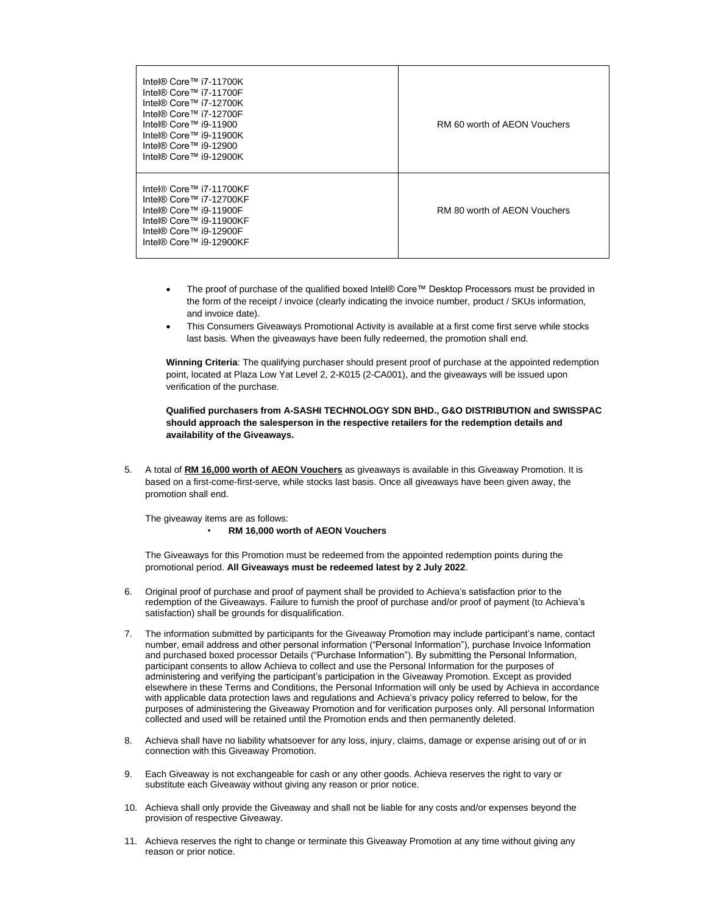| Intel® Core™ i7-11700K<br>Intel® Core™ i7-11700F<br>Intel® Core™ i7-12700K<br>Intel® Core™ i7-12700F<br>Intel® Core™ i9-11900<br>Intel® Core™ i9-11900K<br>Intel® Core™ i9-12900<br>Intel® Core™ i9-12900K | RM 60 worth of AEON Vouchers |
|------------------------------------------------------------------------------------------------------------------------------------------------------------------------------------------------------------|------------------------------|
| Intel® Core™ i7-11700KF<br>Intel® Core™ i7-12700KF<br>Intel® Core™ i9-11900F<br>Intel® Core™ i9-11900KF<br>Intel® Core™ i9-12900F<br>Intel® Core™ i9-12900KF                                               | RM 80 worth of AEON Vouchers |

- The proof of purchase of the qualified boxed Intel® Core™ Desktop Processors must be provided in the form of the receipt / invoice (clearly indicating the invoice number, product / SKUs information, and invoice date).
- This Consumers Giveaways Promotional Activity is available at a first come first serve while stocks last basis. When the giveaways have been fully redeemed, the promotion shall end.

**Winning Criteria**: The qualifying purchaser should present proof of purchase at the appointed redemption point, located at Plaza Low Yat Level 2, 2-K015 (2-CA001), and the giveaways will be issued upon verification of the purchase.

**Qualified purchasers from A-SASHI TECHNOLOGY SDN BHD., G&O DISTRIBUTION and SWISSPAC should approach the salesperson in the respective retailers for the redemption details and availability of the Giveaways.**

5. A total of **RM 16,000 worth of AEON Vouchers** as giveaways is available in this Giveaway Promotion. It is based on a first-come-first-serve, while stocks last basis. Once all giveaways have been given away, the promotion shall end.

The giveaway items are as follows: • **RM 16,000 worth of AEON Vouchers**

The Giveaways for this Promotion must be redeemed from the appointed redemption points during the promotional period. **All Giveaways must be redeemed latest by 2 July 2022**.

- 6. Original proof of purchase and proof of payment shall be provided to Achieva's satisfaction prior to the redemption of the Giveaways. Failure to furnish the proof of purchase and/or proof of payment (to Achieva's satisfaction) shall be grounds for disqualification.
- 7. The information submitted by participants for the Giveaway Promotion may include participant's name, contact number, email address and other personal information ("Personal Information"), purchase Invoice Information and purchased boxed processor Details ("Purchase Information"). By submitting the Personal Information, participant consents to allow Achieva to collect and use the Personal Information for the purposes of administering and verifying the participant's participation in the Giveaway Promotion. Except as provided elsewhere in these Terms and Conditions, the Personal Information will only be used by Achieva in accordance with applicable data protection laws and regulations and Achieva's privacy policy referred to below, for the purposes of administering the Giveaway Promotion and for verification purposes only. All personal Information collected and used will be retained until the Promotion ends and then permanently deleted.
- 8. Achieva shall have no liability whatsoever for any loss, injury, claims, damage or expense arising out of or in connection with this Giveaway Promotion.
- 9. Each Giveaway is not exchangeable for cash or any other goods. Achieva reserves the right to vary or substitute each Giveaway without giving any reason or prior notice.
- 10. Achieva shall only provide the Giveaway and shall not be liable for any costs and/or expenses beyond the provision of respective Giveaway.
- 11. Achieva reserves the right to change or terminate this Giveaway Promotion at any time without giving any reason or prior notice.